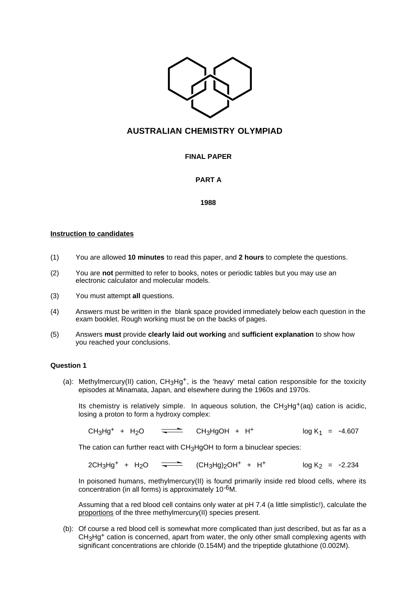

# **AUSTRALIAN CHEMISTRY OLYMPIAD**

# **FINAL PAPER**

# **PART A**

## **1988**

#### **Instruction to candidates**

- (1) You are allowed **10 minutes** to read this paper, and **2 hours** to complete the questions.
- (2) You are **not** permitted to refer to books, notes or periodic tables but you may use an electronic calculator and molecular models.
- (3) You must attempt **all** questions.
- (4) Answers must be written in the blank space provided immediately below each question in the exam booklet. Rough working must be on the backs of pages.
- (5) Answers **must** provide **clearly laid out working** and **sufficient explanation** to show how you reached your conclusions.

## **Question 1**

(a): Methylmercury(II) cation, CH<sub>3</sub>Hg<sup>+</sup>, is the 'heavy' metal cation responsible for the toxicity episodes at Minamata, Japan, and elsewhere during the 1960s and 1970s.

Its chemistry is relatively simple. In aqueous solution, the  $CH<sub>3</sub>Hg<sup>+</sup>(aq)$  cation is acidic, losing a proton to form a hydroxy complex:

 $CH_3Hg^+ + H_2O =$  CH<sub>3</sub>HgOH + H<sup>+</sup> log K<sub>1</sub> = -4.607

The cation can further react with CH3HgOH to form a binuclear species:

 $2CH_3Hg^+ + H_2O =$   $\left(\frac{CH_3Hg}{2OH^+} + H^+ \right)$   $\qquad \qquad$   $\log K_2 = -2.234$ 

In poisoned humans, methylmercury(II) is found primarily inside red blood cells, where its concentration (in all forms) is approximately 10-6M.

Assuming that a red blood cell contains only water at pH 7.4 (a little simplistic!), calculate the proportions of the three methylmercury(II) species present.

(b): Of course a red blood cell is somewhat more complicated than just described, but as far as a CH<sub>3</sub>Hg<sup>+</sup> cation is concerned, apart from water, the only other small complexing agents with significant concentrations are chloride (0.154M) and the tripeptide glutathione (0.002M).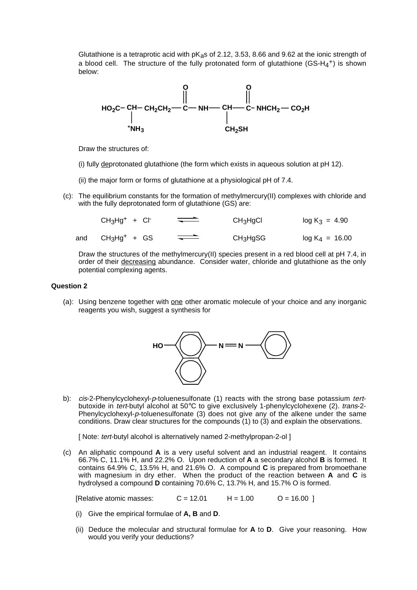Glutathione is a tetraprotic acid with  $pK_{a}$ s of 2.12, 3.53, 8.66 and 9.62 at the ionic strength of a blood cell. The structure of the fully protonated form of glutathione (GS-H<sub>4</sub>+) is shown below:



Draw the structures of:

- (i) fully deprotonated glutathione (the form which exists in aqueous solution at pH 12).
- (ii) the major form or forms of glutathione at a physiological pH of 7.4.
- (c): The equilibrium constants for the formation of methylmercury(II) complexes with chloride and with the fully deprotonated form of glutathione (GS) are:

|     | $CH3Hg+ + Cl-$ | $\overbrace{\phantom{aaaaa}}$ | CH <sub>3</sub> H <sub>9</sub> Cl | $log K_3 = 4.90$  |
|-----|----------------|-------------------------------|-----------------------------------|-------------------|
| and | $CH3Hg+ + GS$  | $\implies$                    | $CH3H9SG$                         | $log K_4 = 16.00$ |

Draw the structures of the methylmercury(II) species present in a red blood cell at pH 7.4, in order of their decreasing abundance. Consider water, chloride and glutathione as the only potential complexing agents.

#### **Question 2**

(a): Using benzene together with one other aromatic molecule of your choice and any inorganic reagents you wish, suggest a synthesis for



b): cis-2-Phenylcyclohexyl-p-toluenesulfonate (1) reacts with the strong base potassium tertbutoxide in tert-butyl alcohol at 50°C to give exclusively 1-phenylcyclohexene (2). trans-2-Phenylcyclohexyl-p-toluenesulfonate (3) does not give any of the alkene under the same conditions. Draw clear structures for the compounds (1) to (3) and explain the observations.

[ Note: tert-butyl alcohol is alternatively named 2-methylpropan-2-ol ]

(c) An aliphatic compound **A** is a very useful solvent and an industrial reagent. It contains 66.7% C, 11.1% H, and 22.2% O. Upon reduction of **A** a secondary alcohol **B** is formed. It contains 64.9% C, 13.5% H, and 21.6% O. A compound **C** is prepared from bromoethane with magnesium in dry ether. When the product of the reaction between **A** and **C** is hydrolysed a compound **D** containing 70.6% C, 13.7% H, and 15.7% O is formed.

[Relative atomic masses:  $C = 12.01$   $H = 1.00$   $Q = 16.00$  ]

- (i) Give the empirical formulae of **A, B** and **D**.
- (ii) Deduce the molecular and structural formulae for **A** to **D**. Give your reasoning. How would you verify your deductions?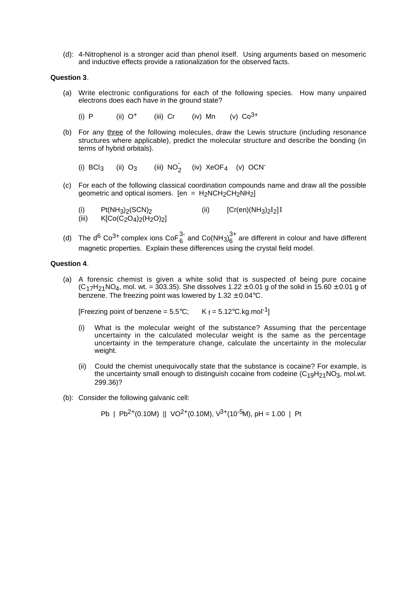(d): 4-Nitrophenol is a stronger acid than phenol itself. Using arguments based on mesomeric and inductive effects provide a rationalization for the observed facts.

#### **Question 3**.

- (a) Write electronic configurations for each of the following species. How many unpaired electrons does each have in the ground state?
	- (i) P (ii)  $Q^+$  (iii) Cr (iv) Mn (v)  $C_0^{3+}$
- (b) For any three of the following molecules, draw the Lewis structure (including resonance structures where applicable), predict the molecular structure and describe the bonding (in terms of hybrid orbitals).

(i)  $BCI_3$  (ii)  $O_3$  (iii)  $NO_2^-$  (iv)  $XeOF_4$  (v) OCN-

- (c) For each of the following classical coordination compounds name and draw all the possible geometric and optical isomers. [en =  $H_2NCH_2CH_2NH_2$ ]
	- (i)  $Pt(NH_3)_2(SCN)_2$  (ii)  $[Cr(en)(NH_3)_2I_2]I$ <br>(iii)  $K[Co(C_2O_4)_2(H_2O)_2]$  $K[Co(\tilde{C}_2O_4)_{2}(\tilde{H}_2O)_{2}]$
- (d) The d<sup>6</sup> Co<sup>3+</sup> complex ions CoF $_6^{3}$  and Co(NH<sub>3)</sub> $_6^{3+}$  are different in colour and have different magnetic properties. Explain these differences using the crystal field model.

## **Question 4**.

(a) A forensic chemist is given a white solid that is suspected of being pure cocaine  $(C_{17}H_{21}NO_4,$  mol. wt. = 303.35). She dissolves 1.22  $\pm$  0.01 g of the solid in 15.60  $\pm$  0.01 g of benzene. The freezing point was lowered by  $1.32 \pm 0.04$  °C.

[Freezing point of benzene =  $5.5^{\circ}$ C; K  $_f$  =  $5.12^{\circ}$ C.kg.mol<sup>-1</sup>]

- (i) What is the molecular weight of the substance? Assuming that the percentage uncertainty in the calculated molecular weight is the same as the percentage uncertainty in the temperature change, calculate the uncertainty in the molecular weight.
- (ii) Could the chemist unequivocally state that the substance is cocaine? For example, is the uncertainty small enough to distinguish cocaine from codeine  $(C_{19}H_{21}NO_3,$  mol.wt. 299.36)?
- (b): Consider the following galvanic cell:

$$
Pb | Pb2+(0.10M) || VO2+(0.10M), V3+(10-5M), pH = 1.00 | Pt
$$